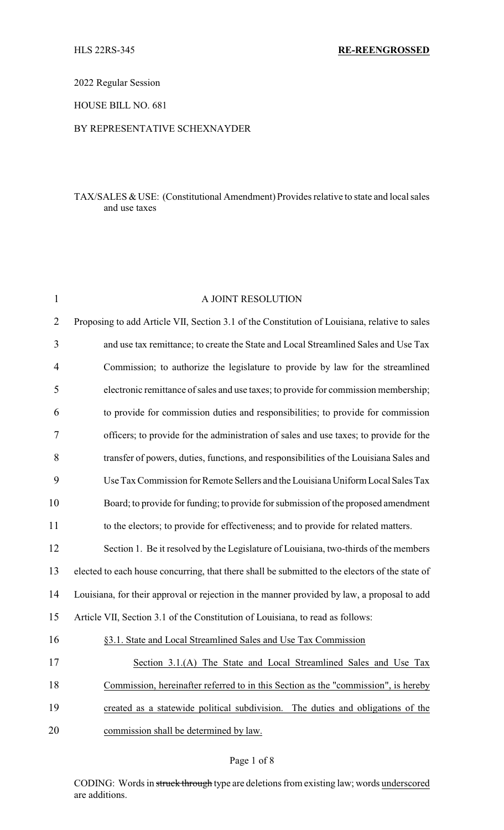2022 Regular Session

HOUSE BILL NO. 681

## BY REPRESENTATIVE SCHEXNAYDER

## TAX/SALES & USE: (Constitutional Amendment) Provides relative to state and local sales and use taxes

| $\mathbf{1}$   | A JOINT RESOLUTION                                                                              |
|----------------|-------------------------------------------------------------------------------------------------|
| $\overline{2}$ | Proposing to add Article VII, Section 3.1 of the Constitution of Louisiana, relative to sales   |
| 3              | and use tax remittance; to create the State and Local Streamlined Sales and Use Tax             |
| 4              | Commission; to authorize the legislature to provide by law for the streamlined                  |
| 5              | electronic remittance of sales and use taxes; to provide for commission membership;             |
| 6              | to provide for commission duties and responsibilities; to provide for commission                |
| 7              | officers; to provide for the administration of sales and use taxes; to provide for the          |
| 8              | transfer of powers, duties, functions, and responsibilities of the Louisiana Sales and          |
| 9              | Use Tax Commission for Remote Sellers and the Louisiana Uniform Local Sales Tax                 |
| 10             | Board; to provide for funding; to provide for submission of the proposed amendment              |
| 11             | to the electors; to provide for effectiveness; and to provide for related matters.              |
| 12             | Section 1. Be it resolved by the Legislature of Louisiana, two-thirds of the members            |
| 13             | elected to each house concurring, that there shall be submitted to the electors of the state of |
| 14             | Louisiana, for their approval or rejection in the manner provided by law, a proposal to add     |
| 15             | Article VII, Section 3.1 of the Constitution of Louisiana, to read as follows:                  |
| 16             | §3.1. State and Local Streamlined Sales and Use Tax Commission                                  |
| 17             | Section 3.1.(A) The State and Local Streamlined Sales and Use Tax                               |
| 18             | Commission, hereinafter referred to in this Section as the "commission", is hereby              |
| 19             | created as a statewide political subdivision. The duties and obligations of the                 |
| 20             | commission shall be determined by law.                                                          |
|                |                                                                                                 |

## Page 1 of 8

CODING: Words in struck through type are deletions from existing law; words underscored are additions.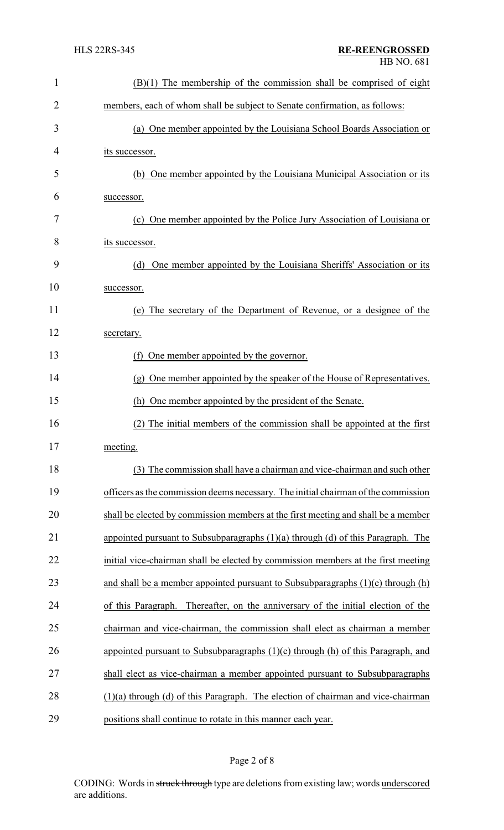| $\mathbf{1}$   | $(B)(1)$ The membership of the commission shall be comprised of eight                |  |  |
|----------------|--------------------------------------------------------------------------------------|--|--|
| $\overline{2}$ | members, each of whom shall be subject to Senate confirmation, as follows:           |  |  |
| 3              | (a) One member appointed by the Louisiana School Boards Association or               |  |  |
| 4              | its successor.                                                                       |  |  |
| 5              | One member appointed by the Louisiana Municipal Association or its<br>(b)            |  |  |
| 6              | successor.                                                                           |  |  |
| 7              | (c) One member appointed by the Police Jury Association of Louisiana or              |  |  |
| 8              | its successor.                                                                       |  |  |
| 9              | One member appointed by the Louisiana Sheriffs' Association or its<br>(d)            |  |  |
| 10             | successor.                                                                           |  |  |
| 11             | (e) The secretary of the Department of Revenue, or a designee of the                 |  |  |
| 12             | secretary.                                                                           |  |  |
| 13             | (f) One member appointed by the governor.                                            |  |  |
| 14             | (g) One member appointed by the speaker of the House of Representatives.             |  |  |
| 15             | (h) One member appointed by the president of the Senate.                             |  |  |
| 16             | The initial members of the commission shall be appointed at the first<br>(2)         |  |  |
| 17             | meeting.                                                                             |  |  |
| 18             | (3) The commission shall have a chairman and vice-chairman and such other            |  |  |
| 19             | officers as the commission deems necessary. The initial chairman of the commission   |  |  |
| 20             | shall be elected by commission members at the first meeting and shall be a member    |  |  |
| 21             | appointed pursuant to Subsubparagraphs $(1)(a)$ through $(d)$ of this Paragraph. The |  |  |
| 22             | initial vice-chairman shall be elected by commission members at the first meeting    |  |  |
| 23             | and shall be a member appointed pursuant to Subsubparagraphs $(1)(e)$ through $(h)$  |  |  |
| 24             | of this Paragraph. Thereafter, on the anniversary of the initial election of the     |  |  |
| 25             | chairman and vice-chairman, the commission shall elect as chairman a member          |  |  |
| 26             | appointed pursuant to Subsubparagraphs $(1)(e)$ through $(h)$ of this Paragraph, and |  |  |
| 27             | shall elect as vice-chairman a member appointed pursuant to Subsubparagraphs         |  |  |
| 28             | $(1)(a)$ through $(d)$ of this Paragraph. The election of chairman and vice-chairman |  |  |
| 29             | positions shall continue to rotate in this manner each year.                         |  |  |

# Page 2 of 8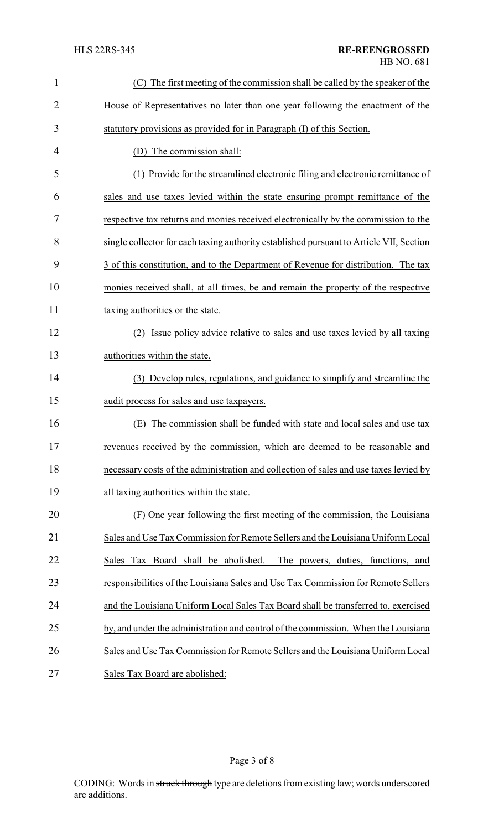| $\mathbf{1}$   | (C) The first meeting of the commission shall be called by the speaker of the           |  |  |
|----------------|-----------------------------------------------------------------------------------------|--|--|
| $\overline{2}$ | House of Representatives no later than one year following the enactment of the          |  |  |
| 3              | statutory provisions as provided for in Paragraph (I) of this Section.                  |  |  |
| 4              | The commission shall:<br>(D)                                                            |  |  |
| 5              | Provide for the streamlined electronic filing and electronic remittance of<br>(1)       |  |  |
| 6              | sales and use taxes levied within the state ensuring prompt remittance of the           |  |  |
| 7              | respective tax returns and monies received electronically by the commission to the      |  |  |
| 8              | single collector for each taxing authority established pursuant to Article VII, Section |  |  |
| 9              | 3 of this constitution, and to the Department of Revenue for distribution. The tax      |  |  |
| 10             | monies received shall, at all times, be and remain the property of the respective       |  |  |
| 11             | taxing authorities or the state.                                                        |  |  |
| 12             | Issue policy advice relative to sales and use taxes levied by all taxing<br>(2)         |  |  |
| 13             | authorities within the state.                                                           |  |  |
| 14             | (3) Develop rules, regulations, and guidance to simplify and streamline the             |  |  |
| 15             | audit process for sales and use taxpayers.                                              |  |  |
| 16             | The commission shall be funded with state and local sales and use tax<br>(E)            |  |  |
| 17             | revenues received by the commission, which are deemed to be reasonable and              |  |  |
| 18             | necessary costs of the administration and collection of sales and use taxes levied by   |  |  |
| 19             | all taxing authorities within the state.                                                |  |  |
| 20             | (F) One year following the first meeting of the commission, the Louisiana               |  |  |
| 21             | Sales and Use Tax Commission for Remote Sellers and the Louisiana Uniform Local         |  |  |
| 22             | Sales Tax Board shall be abolished.<br>The powers, duties, functions, and               |  |  |
| 23             | responsibilities of the Louisiana Sales and Use Tax Commission for Remote Sellers       |  |  |
| 24             | and the Louisiana Uniform Local Sales Tax Board shall be transferred to, exercised      |  |  |
| 25             | by, and under the administration and control of the commission. When the Louisiana      |  |  |
| 26             | Sales and Use Tax Commission for Remote Sellers and the Louisiana Uniform Local         |  |  |
| 27             | Sales Tax Board are abolished:                                                          |  |  |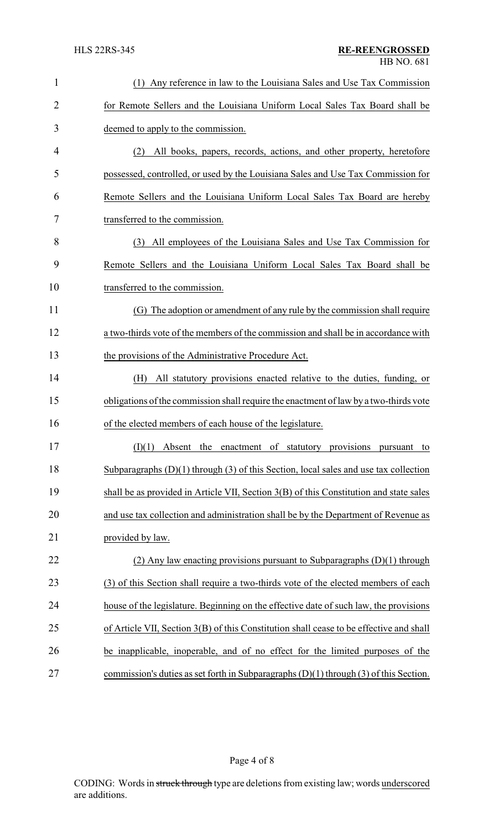| $\mathbf{1}$   | (1) Any reference in law to the Louisiana Sales and Use Tax Commission                    |
|----------------|-------------------------------------------------------------------------------------------|
| $\overline{2}$ | for Remote Sellers and the Louisiana Uniform Local Sales Tax Board shall be               |
| 3              | deemed to apply to the commission.                                                        |
| 4              | All books, papers, records, actions, and other property, heretofore<br>(2)                |
| 5              | possessed, controlled, or used by the Louisiana Sales and Use Tax Commission for          |
| 6              | Remote Sellers and the Louisiana Uniform Local Sales Tax Board are hereby                 |
| 7              | transferred to the commission.                                                            |
| 8              | (3) All employees of the Louisiana Sales and Use Tax Commission for                       |
| 9              | Remote Sellers and the Louisiana Uniform Local Sales Tax Board shall be                   |
| 10             | transferred to the commission.                                                            |
| 11             | (G) The adoption or amendment of any rule by the commission shall require                 |
| 12             | a two-thirds vote of the members of the commission and shall be in accordance with        |
| 13             | the provisions of the Administrative Procedure Act.                                       |
| 14             | (H)<br>All statutory provisions enacted relative to the duties, funding, or               |
| 15             | obligations of the commission shall require the enactment of law by a two-thirds vote     |
| 16             | of the elected members of each house of the legislature.                                  |
| 17             | $(I)(1)$ Absent the enactment of statutory provisions pursuant to                         |
| 18             | Subparagraphs $(D)(1)$ through $(3)$ of this Section, local sales and use tax collection  |
| 19             | shall be as provided in Article VII, Section 3(B) of this Constitution and state sales    |
| 20             | and use tax collection and administration shall be by the Department of Revenue as        |
| 21             | provided by law.                                                                          |
| 22             | (2) Any law enacting provisions pursuant to Subparagraphs $(D)(1)$ through                |
| 23             | (3) of this Section shall require a two-thirds vote of the elected members of each        |
| 24             | house of the legislature. Beginning on the effective date of such law, the provisions     |
| 25             | of Article VII, Section 3(B) of this Constitution shall cease to be effective and shall   |
| 26             | be inapplicable, inoperable, and of no effect for the limited purposes of the             |
| 27             | commission's duties as set forth in Subparagraphs $(D)(1)$ through $(3)$ of this Section. |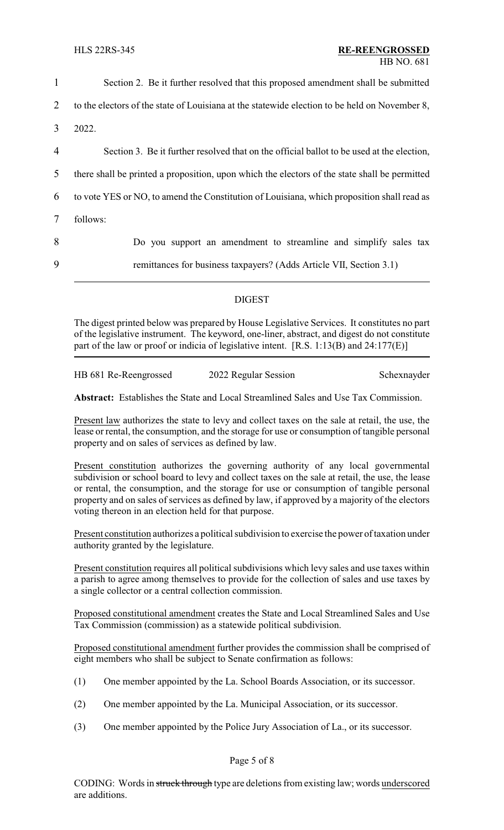| $\mathbf{1}$   | Section 2. Be it further resolved that this proposed amendment shall be submitted             |  |
|----------------|-----------------------------------------------------------------------------------------------|--|
| 2              | to the electors of the state of Louisiana at the statewide election to be held on November 8, |  |
| $\mathfrak{Z}$ | 2022.                                                                                         |  |
| $\overline{4}$ | Section 3. Be it further resolved that on the official ballot to be used at the election,     |  |
| 5              | there shall be printed a proposition, upon which the electors of the state shall be permitted |  |
| 6              | to vote YES or NO, to amend the Constitution of Louisiana, which proposition shall read as    |  |
| $\tau$         | follows:                                                                                      |  |
| 8              | Do you support an amendment to streamline and simplify sales tax                              |  |
| 9              | remittances for business taxpayers? (Adds Article VII, Section 3.1)                           |  |
|                |                                                                                               |  |

## DIGEST

The digest printed below was prepared by House Legislative Services. It constitutes no part of the legislative instrument. The keyword, one-liner, abstract, and digest do not constitute part of the law or proof or indicia of legislative intent.  $[R.S. 1:13(B)$  and  $24:177(E)]$ 

| HB 681 Re-Reengrossed | 2022 Regular Session | Schexnayder |
|-----------------------|----------------------|-------------|
|                       |                      |             |

**Abstract:** Establishes the State and Local Streamlined Sales and Use Tax Commission.

Present law authorizes the state to levy and collect taxes on the sale at retail, the use, the lease or rental, the consumption, and the storage for use or consumption of tangible personal property and on sales of services as defined by law.

Present constitution authorizes the governing authority of any local governmental subdivision or school board to levy and collect taxes on the sale at retail, the use, the lease or rental, the consumption, and the storage for use or consumption of tangible personal property and on sales of services as defined by law, if approved by a majority of the electors voting thereon in an election held for that purpose.

Present constitution authorizes a political subdivision to exercise the power of taxation under authority granted by the legislature.

Present constitution requires all political subdivisions which levy sales and use taxes within a parish to agree among themselves to provide for the collection of sales and use taxes by a single collector or a central collection commission.

Proposed constitutional amendment creates the State and Local Streamlined Sales and Use Tax Commission (commission) as a statewide political subdivision.

Proposed constitutional amendment further provides the commission shall be comprised of eight members who shall be subject to Senate confirmation as follows:

- (1) One member appointed by the La. School Boards Association, or its successor.
- (2) One member appointed by the La. Municipal Association, or its successor.
- (3) One member appointed by the Police Jury Association of La., or its successor.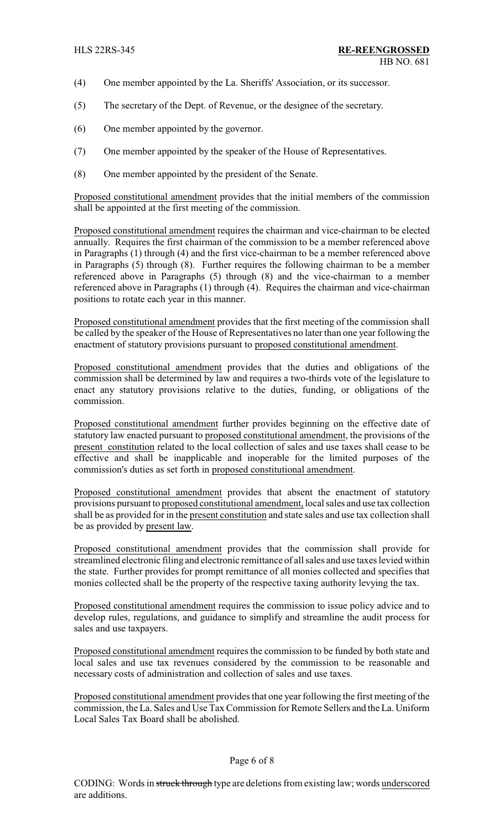- (4) One member appointed by the La. Sheriffs' Association, or its successor.
- (5) The secretary of the Dept. of Revenue, or the designee of the secretary.
- (6) One member appointed by the governor.
- (7) One member appointed by the speaker of the House of Representatives.
- (8) One member appointed by the president of the Senate.

Proposed constitutional amendment provides that the initial members of the commission shall be appointed at the first meeting of the commission.

Proposed constitutional amendment requires the chairman and vice-chairman to be elected annually. Requires the first chairman of the commission to be a member referenced above in Paragraphs (1) through (4) and the first vice-chairman to be a member referenced above in Paragraphs (5) through (8). Further requires the following chairman to be a member referenced above in Paragraphs (5) through (8) and the vice-chairman to a member referenced above in Paragraphs (1) through (4). Requires the chairman and vice-chairman positions to rotate each year in this manner.

Proposed constitutional amendment provides that the first meeting of the commission shall be called by the speaker of the House of Representatives no later than one year following the enactment of statutory provisions pursuant to proposed constitutional amendment.

Proposed constitutional amendment provides that the duties and obligations of the commission shall be determined by law and requires a two-thirds vote of the legislature to enact any statutory provisions relative to the duties, funding, or obligations of the commission.

Proposed constitutional amendment further provides beginning on the effective date of statutory law enacted pursuant to proposed constitutional amendment, the provisions of the present constitution related to the local collection of sales and use taxes shall cease to be effective and shall be inapplicable and inoperable for the limited purposes of the commission's duties as set forth in proposed constitutional amendment.

Proposed constitutional amendment provides that absent the enactment of statutory provisions pursuant to proposed constitutional amendment, local sales and use tax collection shall be as provided for in the present constitution and state sales and use tax collection shall be as provided by present law.

Proposed constitutional amendment provides that the commission shall provide for streamlined electronic filing and electronic remittance of all sales and use taxes levied within the state. Further provides for prompt remittance of all monies collected and specifies that monies collected shall be the property of the respective taxing authority levying the tax.

Proposed constitutional amendment requires the commission to issue policy advice and to develop rules, regulations, and guidance to simplify and streamline the audit process for sales and use taxpayers.

Proposed constitutional amendment requires the commission to be funded by both state and local sales and use tax revenues considered by the commission to be reasonable and necessary costs of administration and collection of sales and use taxes.

Proposed constitutional amendment provides that one year following the first meeting of the commission, the La. Sales and Use Tax Commission for Remote Sellers and the La. Uniform Local Sales Tax Board shall be abolished.

### Page 6 of 8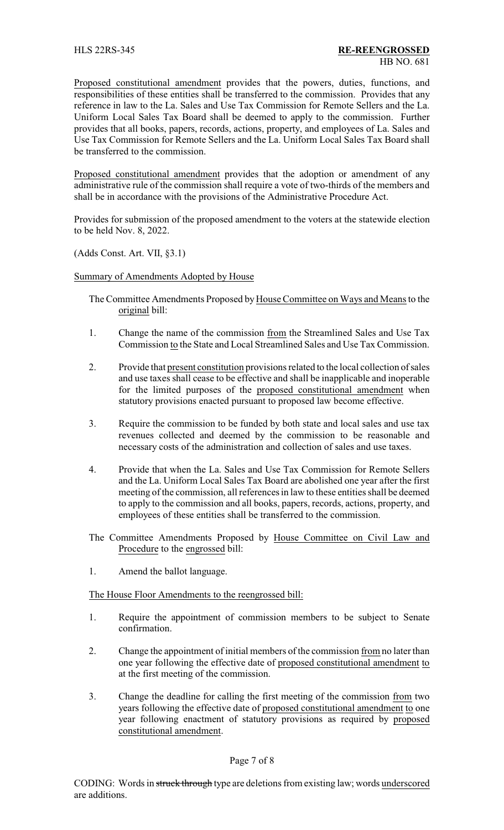Proposed constitutional amendment provides that the powers, duties, functions, and responsibilities of these entities shall be transferred to the commission. Provides that any reference in law to the La. Sales and Use Tax Commission for Remote Sellers and the La. Uniform Local Sales Tax Board shall be deemed to apply to the commission. Further provides that all books, papers, records, actions, property, and employees of La. Sales and Use Tax Commission for Remote Sellers and the La. Uniform Local Sales Tax Board shall be transferred to the commission.

Proposed constitutional amendment provides that the adoption or amendment of any administrative rule of the commission shall require a vote of two-thirds of the members and shall be in accordance with the provisions of the Administrative Procedure Act.

Provides for submission of the proposed amendment to the voters at the statewide election to be held Nov. 8, 2022.

(Adds Const. Art. VII, §3.1)

Summary of Amendments Adopted by House

The Committee Amendments Proposed by House Committee on Ways and Means to the original bill:

- 1. Change the name of the commission from the Streamlined Sales and Use Tax Commission to the State and Local Streamlined Sales and Use Tax Commission.
- 2. Provide that present constitution provisions related to the local collection of sales and use taxes shall cease to be effective and shall be inapplicable and inoperable for the limited purposes of the proposed constitutional amendment when statutory provisions enacted pursuant to proposed law become effective.
- 3. Require the commission to be funded by both state and local sales and use tax revenues collected and deemed by the commission to be reasonable and necessary costs of the administration and collection of sales and use taxes.
- 4. Provide that when the La. Sales and Use Tax Commission for Remote Sellers and the La. Uniform Local Sales Tax Board are abolished one year after the first meeting of the commission, all references in law to these entities shall be deemed to apply to the commission and all books, papers, records, actions, property, and employees of these entities shall be transferred to the commission.
- The Committee Amendments Proposed by House Committee on Civil Law and Procedure to the engrossed bill:
- 1. Amend the ballot language.

The House Floor Amendments to the reengrossed bill:

- 1. Require the appointment of commission members to be subject to Senate confirmation.
- 2. Change the appointment of initial members of the commission from no later than one year following the effective date of proposed constitutional amendment to at the first meeting of the commission.
- 3. Change the deadline for calling the first meeting of the commission from two years following the effective date of proposed constitutional amendment to one year following enactment of statutory provisions as required by proposed constitutional amendment.